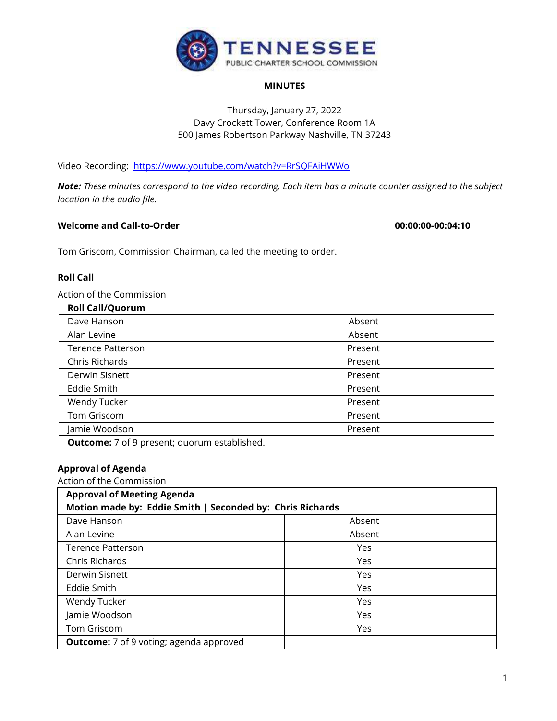

### **MINUTES**

# Thursday, January 27, 2022 Davy Crockett Tower, Conference Room 1A 500 James Robertson Parkway Nashville, TN 37243

Video Recording: <https://www.youtube.com/watch?v=RrSQFAiHWWo>

*Note: These minutes correspond to the video recording. Each item has a minute counter assigned to the subject location in the audio file.*

# **Welcome and Call-to-Order 00:00:00-00:04:10**

Tom Griscom, Commission Chairman, called the meeting to order.

# **Roll Call**

Action of the Commission

| <b>Roll Call/Quorum</b>                             |         |
|-----------------------------------------------------|---------|
| Dave Hanson                                         | Absent  |
| Alan Levine                                         | Absent  |
| <b>Terence Patterson</b>                            | Present |
| Chris Richards                                      | Present |
| Derwin Sisnett                                      | Present |
| Eddie Smith                                         | Present |
| Wendy Tucker                                        | Present |
| Tom Griscom                                         | Present |
| Jamie Woodson                                       | Present |
| <b>Outcome:</b> 7 of 9 present; quorum established. |         |

# **Approval of Agenda**

Action of the Commission

| <b>Approval of Meeting Agenda</b><br>Motion made by: Eddie Smith   Seconded by: Chris Richards |        |  |
|------------------------------------------------------------------------------------------------|--------|--|
|                                                                                                |        |  |
| Dave Hanson                                                                                    | Absent |  |
| Alan Levine                                                                                    | Absent |  |
| <b>Terence Patterson</b>                                                                       | Yes    |  |
| Chris Richards                                                                                 | Yes    |  |
| Derwin Sisnett                                                                                 | Yes    |  |
| Eddie Smith                                                                                    | Yes    |  |
| Wendy Tucker                                                                                   | Yes    |  |
| Jamie Woodson                                                                                  | Yes    |  |
| Tom Griscom                                                                                    | Yes    |  |
| <b>Outcome:</b> 7 of 9 voting; agenda approved                                                 |        |  |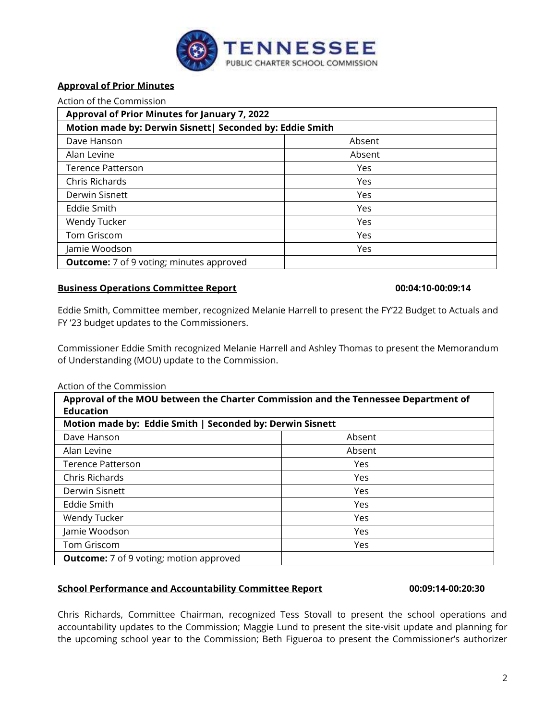

# **Approval of Prior Minutes**

Action of the Commission

| Approval of Prior Minutes for January 7, 2022             |        |
|-----------------------------------------------------------|--------|
| Motion made by: Derwin Sisnett   Seconded by: Eddie Smith |        |
| Dave Hanson                                               | Absent |
| Alan Levine                                               | Absent |
| <b>Terence Patterson</b>                                  | Yes    |
| Chris Richards                                            | Yes    |
| Derwin Sisnett                                            | Yes    |
| Eddie Smith                                               | Yes    |
| Wendy Tucker                                              | Yes    |
| Tom Griscom                                               | Yes    |
| Jamie Woodson                                             | Yes    |
| <b>Outcome:</b> 7 of 9 voting; minutes approved           |        |

# **Business Operations Committee Report 00:04:10-00:09:14**

Eddie Smith, Committee member, recognized Melanie Harrell to present the FY'22 Budget to Actuals and FY '23 budget updates to the Commissioners.

Commissioner Eddie Smith recognized Melanie Harrell and Ashley Thomas to present the Memorandum of Understanding (MOU) update to the Commission.

### Action of the Commission

| Approval of the MOU between the Charter Commission and the Tennessee Department of<br><b>Education</b><br>Motion made by: Eddie Smith   Seconded by: Derwin Sisnett |        |
|---------------------------------------------------------------------------------------------------------------------------------------------------------------------|--------|
|                                                                                                                                                                     |        |
| Alan Levine                                                                                                                                                         | Absent |
| <b>Terence Patterson</b>                                                                                                                                            | Yes    |
| Chris Richards                                                                                                                                                      | Yes    |
| Derwin Sisnett                                                                                                                                                      | Yes    |
| <b>Eddie Smith</b>                                                                                                                                                  | Yes    |
| Wendy Tucker                                                                                                                                                        | Yes    |
| Jamie Woodson                                                                                                                                                       | Yes    |
| Tom Griscom                                                                                                                                                         | Yes    |
| <b>Outcome:</b> 7 of 9 voting; motion approved                                                                                                                      |        |

# **School Performance and Accountability Committee Report 00:09:14-00:20:30**

Chris Richards, Committee Chairman, recognized Tess Stovall to present the school operations and accountability updates to the Commission; Maggie Lund to present the site-visit update and planning for the upcoming school year to the Commission; Beth Figueroa to present the Commissioner's authorizer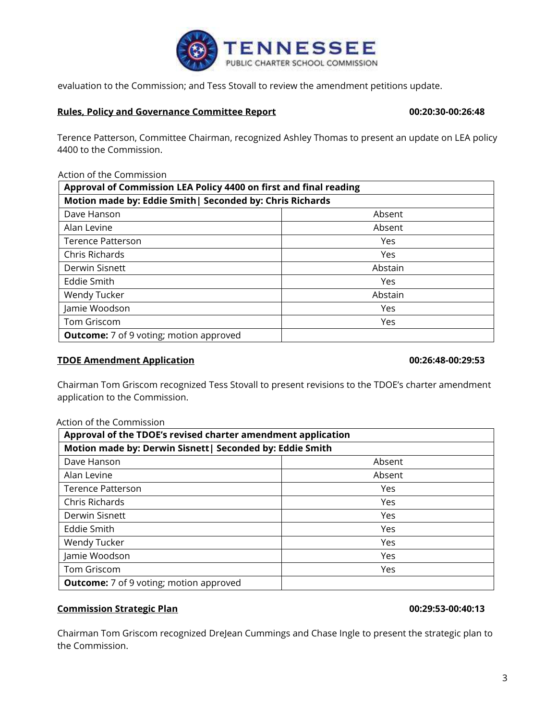

evaluation to the Commission; and Tess Stovall to review the amendment petitions update.

# **Rules, Policy and Governance Committee Report 00:20:30-00:26:48**

Terence Patterson, Committee Chairman, recognized Ashley Thomas to present an update on LEA policy 4400 to the Commission.

### Action of the Commission

| Approval of Commission LEA Policy 4400 on first and final reading |         |
|-------------------------------------------------------------------|---------|
| Motion made by: Eddie Smith   Seconded by: Chris Richards         |         |
| Dave Hanson                                                       | Absent  |
| Alan Levine                                                       | Absent  |
| Terence Patterson                                                 | Yes     |
| Chris Richards                                                    | Yes     |
| Derwin Sisnett                                                    | Abstain |
| <b>Eddie Smith</b>                                                | Yes     |
| Wendy Tucker                                                      | Abstain |
| Jamie Woodson                                                     | Yes     |
| Tom Griscom                                                       | Yes     |
| <b>Outcome:</b> 7 of 9 voting; motion approved                    |         |

# **TDOE Amendment Application 00:26:48-00:29:53**

Chairman Tom Griscom recognized Tess Stovall to present revisions to the TDOE's charter amendment application to the Commission.

### Action of the Commission

| Approval of the TDOE's revised charter amendment application<br>Motion made by: Derwin Sisnett   Seconded by: Eddie Smith |        |
|---------------------------------------------------------------------------------------------------------------------------|--------|
|                                                                                                                           |        |
| Alan Levine                                                                                                               | Absent |
| <b>Terence Patterson</b>                                                                                                  | Yes    |
| Chris Richards                                                                                                            | Yes    |
| Derwin Sisnett                                                                                                            | Yes    |
| Eddie Smith                                                                                                               | Yes    |
| Wendy Tucker                                                                                                              | Yes    |
| Jamie Woodson                                                                                                             | Yes    |
| Tom Griscom                                                                                                               | Yes    |
| <b>Outcome:</b> 7 of 9 voting; motion approved                                                                            |        |

# **Commission Strategic Plan 00:29:53-00:40:13**

Chairman Tom Griscom recognized DreJean Cummings and Chase Ingle to present the strategic plan to the Commission.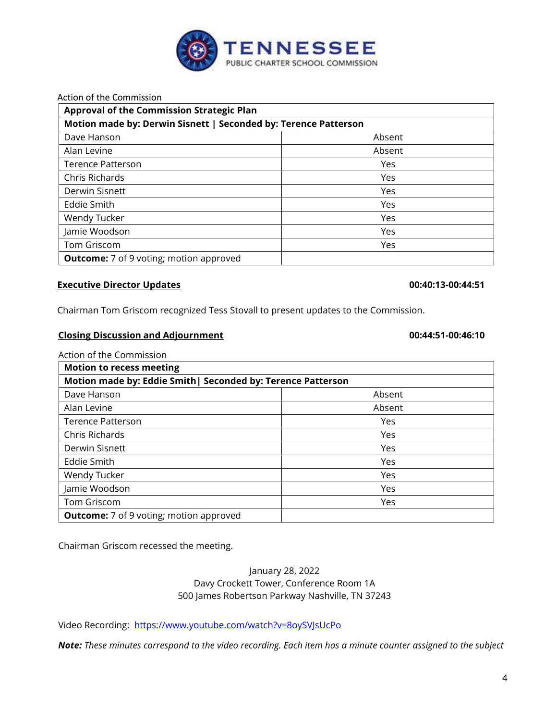

Action of the Commission

| <b>Approval of the Commission Strategic Plan</b><br>Motion made by: Derwin Sisnett   Seconded by: Terence Patterson |        |
|---------------------------------------------------------------------------------------------------------------------|--------|
|                                                                                                                     |        |
| Alan Levine                                                                                                         | Absent |
| <b>Terence Patterson</b>                                                                                            | Yes    |
| Chris Richards                                                                                                      | Yes    |
| Derwin Sisnett                                                                                                      | Yes    |
| Eddie Smith                                                                                                         | Yes    |
| Wendy Tucker                                                                                                        | Yes    |
| Jamie Woodson                                                                                                       | Yes    |
| Tom Griscom                                                                                                         | Yes    |
| <b>Outcome:</b> 7 of 9 voting; motion approved                                                                      |        |

## **Executive Director Updates 00:40:13-00:44:51**

Chairman Tom Griscom recognized Tess Stovall to present updates to the Commission.

### **Closing Discussion and Adjournment 00:44:51-00:46:10**

Action of the Commission

| <b>Motion to recess meeting</b><br>Motion made by: Eddie Smith   Seconded by: Terence Patterson |        |
|-------------------------------------------------------------------------------------------------|--------|
|                                                                                                 |        |
| Alan Levine                                                                                     | Absent |
| <b>Terence Patterson</b>                                                                        | Yes    |
| Chris Richards                                                                                  | Yes    |
| Derwin Sisnett                                                                                  | Yes    |
| Eddie Smith                                                                                     | Yes    |
| Wendy Tucker                                                                                    | Yes    |
| Jamie Woodson                                                                                   | Yes    |
| Tom Griscom                                                                                     | Yes    |
| <b>Outcome:</b> 7 of 9 voting; motion approved                                                  |        |

Chairman Griscom recessed the meeting.

# January 28, 2022 Davy Crockett Tower, Conference Room 1A 500 James Robertson Parkway Nashville, TN 37243

Video Recording:<https://www.youtube.com/watch?v=8oySVJsUcPo>

*Note: These minutes correspond to the video recording. Each item has a minute counter assigned to the subject*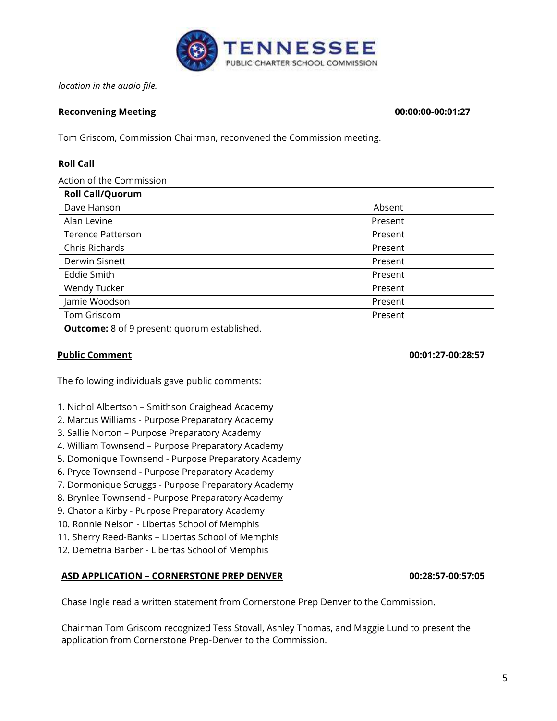

*location in the audio file.*

# **Reconvening Meeting 00:00:00-00:01:27**

Tom Griscom, Commission Chairman, reconvened the Commission meeting.

# **Roll Call**

Action of the Commission

| <b>Roll Call/Quorum</b>                             |         |
|-----------------------------------------------------|---------|
| Dave Hanson                                         | Absent  |
| Alan Levine                                         | Present |
| <b>Terence Patterson</b>                            | Present |
| Chris Richards                                      | Present |
| Derwin Sisnett                                      | Present |
| Eddie Smith                                         | Present |
| Wendy Tucker                                        | Present |
| Jamie Woodson                                       | Present |
| Tom Griscom                                         | Present |
| <b>Outcome:</b> 8 of 9 present; quorum established. |         |

# **Public Comment 00:01:27-00:28:57**

The following individuals gave public comments:

1. Nichol Albertson – Smithson Craighead Academy

- 2. Marcus Williams Purpose Preparatory Academy
- 3. Sallie Norton Purpose Preparatory Academy
- 4. William Townsend Purpose Preparatory Academy
- 5. Domonique Townsend Purpose Preparatory Academy
- 6. Pryce Townsend Purpose Preparatory Academy
- 7. Dormonique Scruggs Purpose Preparatory Academy
- 8. Brynlee Townsend Purpose Preparatory Academy
- 9. Chatoria Kirby Purpose Preparatory Academy
- 10. Ronnie Nelson Libertas School of Memphis
- 11. Sherry Reed-Banks Libertas School of Memphis
- 12. Demetria Barber Libertas School of Memphis

# **ASD APPLICATION – CORNERSTONE PREP DENVER 00:28:57-00:57:05**

Chase Ingle read a written statement from Cornerstone Prep Denver to the Commission.

Chairman Tom Griscom recognized Tess Stovall, Ashley Thomas, and Maggie Lund to present the application from Cornerstone Prep-Denver to the Commission.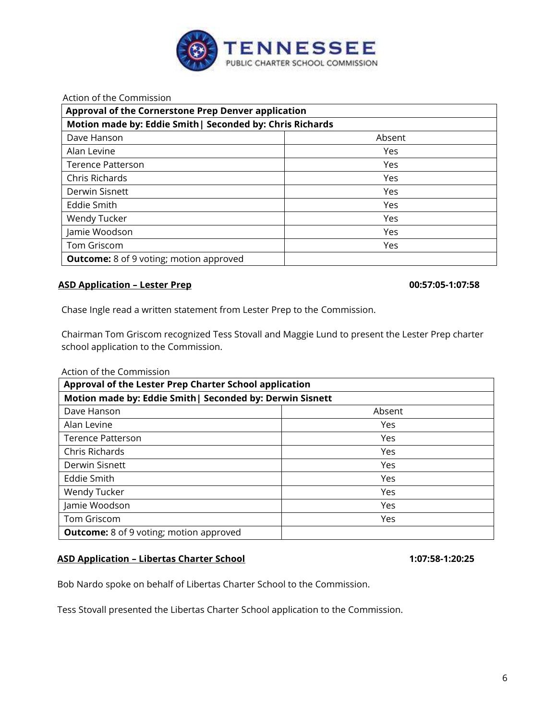

Action of the Commission

| Approval of the Cornerstone Prep Denver application<br>Motion made by: Eddie Smith   Seconded by: Chris Richards |            |
|------------------------------------------------------------------------------------------------------------------|------------|
|                                                                                                                  |            |
| Alan Levine                                                                                                      | Yes        |
| <b>Terence Patterson</b>                                                                                         | <b>Yes</b> |
| Chris Richards                                                                                                   | Yes        |
| Derwin Sisnett                                                                                                   | Yes        |
| Eddie Smith                                                                                                      | Yes        |
| Wendy Tucker                                                                                                     | Yes        |
| Jamie Woodson                                                                                                    | Yes        |
| Tom Griscom                                                                                                      | Yes        |
| <b>Outcome:</b> 8 of 9 voting; motion approved                                                                   |            |

# **ASD Application – Lester Prep 00:57:05-1:07:58**

Chase Ingle read a written statement from Lester Prep to the Commission.

Chairman Tom Griscom recognized Tess Stovall and Maggie Lund to present the Lester Prep charter school application to the Commission.

### Action of the Commission

| Approval of the Lester Prep Charter School application<br>Motion made by: Eddie Smith   Seconded by: Derwin Sisnett |            |
|---------------------------------------------------------------------------------------------------------------------|------------|
|                                                                                                                     |            |
| Alan Levine                                                                                                         | Yes        |
| <b>Terence Patterson</b>                                                                                            | <b>Yes</b> |
| Chris Richards                                                                                                      | Yes        |
| Derwin Sisnett                                                                                                      | Yes        |
| Eddie Smith                                                                                                         | Yes        |
| Wendy Tucker                                                                                                        | Yes        |
| Jamie Woodson                                                                                                       | Yes        |
| Tom Griscom                                                                                                         | Yes        |
| <b>Outcome:</b> 8 of 9 voting; motion approved                                                                      |            |

# **ASD Application – Libertas Charter School 1:07:58-1:20:25**

Bob Nardo spoke on behalf of Libertas Charter School to the Commission.

Tess Stovall presented the Libertas Charter School application to the Commission.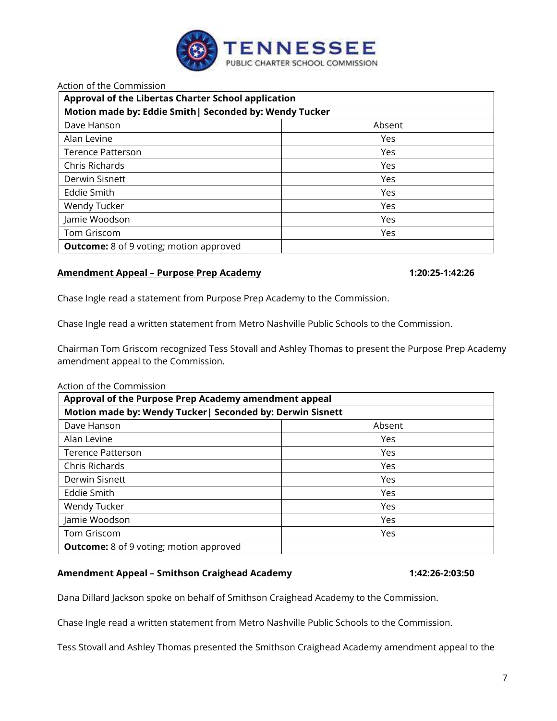

# Action of the Commission

| Approval of the Libertas Charter School application<br>Motion made by: Eddie Smith   Seconded by: Wendy Tucker |     |
|----------------------------------------------------------------------------------------------------------------|-----|
|                                                                                                                |     |
| Alan Levine                                                                                                    | Yes |
| Terence Patterson                                                                                              | Yes |
| Chris Richards                                                                                                 | Yes |
| Derwin Sisnett                                                                                                 | Yes |
| Eddie Smith                                                                                                    | Yes |
| Wendy Tucker                                                                                                   | Yes |
| Jamie Woodson                                                                                                  | Yes |
| Tom Griscom                                                                                                    | Yes |
| <b>Outcome:</b> 8 of 9 voting; motion approved                                                                 |     |

# **Amendment Appeal – Purpose Prep Academy 1:20:25-1:42:26**

Chase Ingle read a statement from Purpose Prep Academy to the Commission.

Chase Ingle read a written statement from Metro Nashville Public Schools to the Commission.

Chairman Tom Griscom recognized Tess Stovall and Ashley Thomas to present the Purpose Prep Academy amendment appeal to the Commission.

## Action of the Commission

| Approval of the Purpose Prep Academy amendment appeal      |        |  |
|------------------------------------------------------------|--------|--|
| Motion made by: Wendy Tucker   Seconded by: Derwin Sisnett |        |  |
| Dave Hanson                                                | Absent |  |
| Alan Levine                                                | Yes    |  |
| <b>Terence Patterson</b>                                   | Yes    |  |
| Chris Richards                                             | Yes    |  |
| Derwin Sisnett                                             | Yes    |  |
| <b>Eddie Smith</b>                                         | Yes    |  |
| Wendy Tucker                                               | Yes    |  |
| Jamie Woodson                                              | Yes    |  |
| Tom Griscom                                                | Yes    |  |
| <b>Outcome:</b> 8 of 9 voting; motion approved             |        |  |

# **Amendment Appeal – Smithson Craighead Academy 1:42:26-2:03:50**

Dana Dillard Jackson spoke on behalf of Smithson Craighead Academy to the Commission.

Chase Ingle read a written statement from Metro Nashville Public Schools to the Commission.

Tess Stovall and Ashley Thomas presented the Smithson Craighead Academy amendment appeal to the